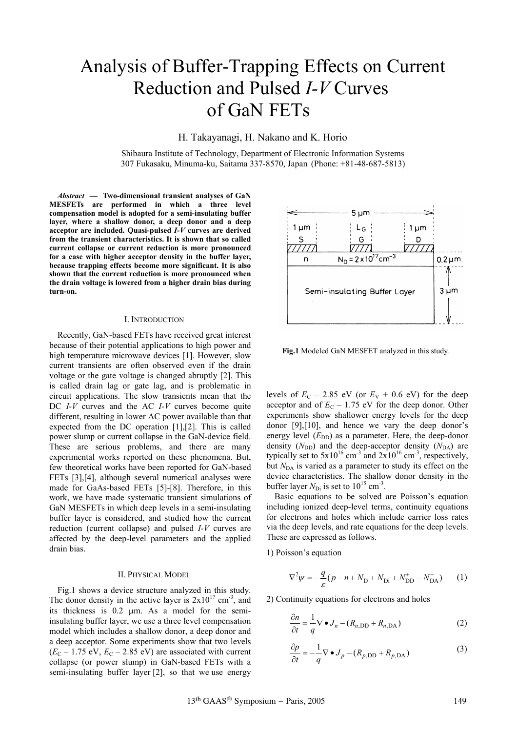# Analysis of Buffer-Trapping Effects on Current Reduction and Pulsed *I-V* Curves of GaN FETs

H. Takayanagi, H. Nakano and K. Horio

Shibaura Institute of Technology, Department of Electronic Information Systems 307 Fukasaku, Minuma-ku, Saitama 337-8570, Japan (Phone: +81-48-687-5813)

*Abstract* **— Two-dimensional transient analyses of GaN MESFETs are performed in which a three level compensation model is adopted for a semi-insulating buffer layer, where a shallow donor, a deep donor and a deep acceptor are included. Quasi-pulsed** *I-V* **curves are derived from the transient characteristics. It is shown that so called current collapse or current reduction is more pronounced for a case with higher acceptor density in the buffer layer, because trapping effects become more significant. It is also shown that the current reduction is more pronounced when the drain voltage is lowered from a higher drain bias during turn-on.**

### I. INTRODUCTION

Recently, GaN-based FETs have received great interest because of their potential applications to high power and high temperature microwave devices [1]. However, slow current transients are often observed even if the drain voltage or the gate voltage is changed abruptly [2]. This is called drain lag or gate lag, and is problematic in circuit applications. The slow transients mean that the DC *I-V* curves and the AC *I-V* curves become quite different, resulting in lower AC power available than that expected from the DC operation [1],[2]. This is called power slump or current collapse in the GaN-device field. These are serious problems, and there are many experimental works reported on these phenomena. But, few theoretical works have been reported for GaN-based FETs [3],[4], although several numerical analyses were made for GaAs-based FETs [5]-[8]. Therefore, in this work, we have made systematic transient simulations of GaN MESFETs in which deep levels in a semi-insulating buffer layer is considered, and studied how the current reduction (current collapse) and pulsed *I-V* curves are affected by the deep-level parameters and the applied drain bias.

### II. PHYSICAL MODEL

Fig.1 shows a device structure analyzed in this study. The donor density in the active layer is  $2x10^{17}$  cm<sup>-3</sup>, and its thickness is  $0.2 \mu m$ . As a model for the semiinsulating buffer layer, we use a three level compensation model which includes a shallow donor, a deep donor and a deep acceptor. Some experiments show that two levels  $(E_C - 1.75 \text{ eV}, E_C - 2.85 \text{ eV})$  are associated with current collapse (or power slump) in GaN-based FETs with a semi-insulating buffer layer [2], so that we use energy



**Fig.1** Modeled GaN MESFET analyzed in this study.

levels of  $E_C$  – 2.85 eV (or  $E_V$  + 0.6 eV) for the deep acceptor and of  $E_C$  – 1.75 eV for the deep donor. Other experiments show shallower energy levels for the deep donor [9],[10], and hence we vary the deep donor's energy level  $(E_{DD})$  as a parameter. Here, the deep-donor density  $(N_{\text{DD}})$  and the deep-acceptor density  $(N_{\text{DA}})$  are typically set to  $5x10^{16}$  cm<sup>-3</sup> and  $2x10^{16}$  cm<sup>-3</sup>, respectively, but *N*<sub>DA</sub> is varied as a parameter to study its effect on the device characteristics. The shallow donor density in the buffer layer  $N_{\text{Di}}$  is set to  $10^{15}$  cm<sup>-3</sup>.

Basic equations to be solved are Poisson's equation including ionized deep-level terms, continuity equations for electrons and holes which include carrier loss rates via the deep levels, and rate equations for the deep levels. These are expressed as follows.

1) Poisson's equation

$$
\nabla^2 \psi = -\frac{q}{\varepsilon} (p - n + N_{\rm D} + N_{\rm Di} + N_{\rm DD}^+ - N_{\rm DA}^-)
$$
 (1)

2) Continuity equations for electrons and holes

$$
\frac{\partial n}{\partial t} = \frac{1}{q} \nabla \bullet J_n - (R_{n, \text{DD}} + R_{n, \text{DA}})
$$
(2)

$$
\frac{\partial p}{\partial t} = -\frac{1}{q} \nabla \bullet J_p - (R_{p, \text{DD}} + R_{p, \text{DA}})
$$
(3)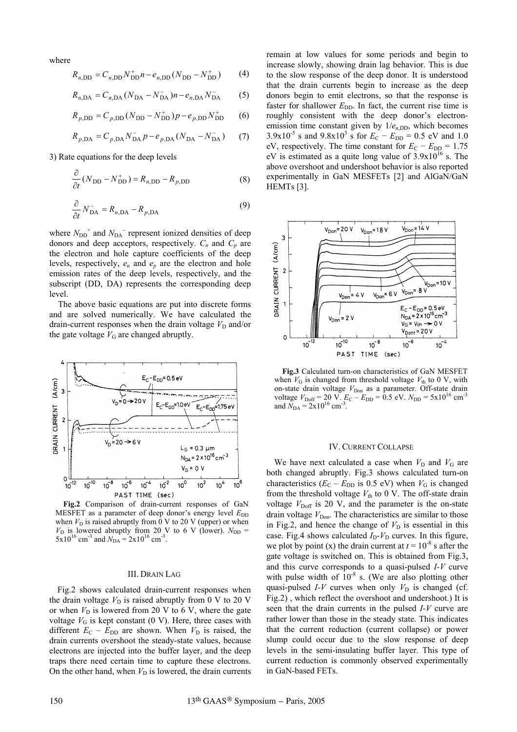where

$$
R_{n,\text{DD}} = C_{n,\text{DD}} N_{\text{DD}}^+ n - e_{n,\text{DD}} (N_{\text{DD}} - N_{\text{DD}}^+) \tag{4}
$$

$$
R_{n,DA} = C_{n,DA} (N_{DA} - N_{DA}^{-}) n - e_{n,DA} N_{DA}^{-} \tag{5}
$$

$$
R_{p,\text{DD}} = C_{p,\text{DD}} (N_{\text{DD}} - N_{\text{DD}}^{+}) p - e_{p,\text{DD}} N_{\text{DD}}^{+}
$$
 (6)

$$
R_{p,DA} = C_{p,DA} N_{DA}^- p - e_{p,DA} (N_{DA} - N_{DA}^-)
$$
 (7)

3) Rate equations for the deep levels

$$
\frac{\partial}{\partial t}(N_{\rm DD} - N_{\rm DD}^+) = R_{n,\rm DD} - R_{p,\rm DD}
$$
 (8)

$$
\frac{\partial}{\partial t} N_{\text{DA}}^- = R_{n,\text{DA}} - R_{p,\text{DA}} \tag{9}
$$

where  $N_{\text{DD}}^+$  and  $N_{\text{DA}}^-$  represent ionized densities of deep donors and deep acceptors, respectively.  $C_n$  and  $C_p$  are the electron and hole capture coefficients of the deep levels, respectively, *en* and *ep* are the electron and hole emission rates of the deep levels, respectively, and the subscript (DD, DA) represents the corresponding deep level.

The above basic equations are put into discrete forms and are solved numerically. We have calculated the drain-current responses when the drain voltage  $V_D$  and/or the gate voltage  $V_G$  are changed abruptly.



**Fig.2** Comparison of drain-current responses of GaN MESFET as a parameter of deep donor's energy level  $E_{DD}$ when  $V_D$  is raised abruptly from  $\overline{0}$  V to 20 V (upper) or when  $V_D$  is lowered abruptly from 20 V to 6 V (lower).  $N_{DD}$  =  $5x10^{16}$  cm<sup>-3</sup> and  $N_{DA} = 2x10^{16}$  cm<sup>-3</sup>.

## III. DRAIN LAG

Fig.2 shows calculated drain-current responses when the drain voltage  $V_D$  is raised abruptly from 0 V to 20 V or when  $V_D$  is lowered from 20 V to 6 V, where the gate voltage  $V_G$  is kept constant (0 V). Here, three cases with different  $E_C - E_{DD}$  are shown. When  $V_D$  is raised, the drain currents overshoot the steady-state values, because electrons are injected into the buffer layer, and the deep traps there need certain time to capture these electrons. On the other hand, when  $V_D$  is lowered, the drain currents remain at low values for some periods and begin to increase slowly, showing drain lag behavior. This is due to the slow response of the deep donor. It is understood that the drain currents begin to increase as the deep donors begin to emit electrons, so that the response is faster for shallower  $E_{\text{DD}}$ . In fact, the current rise time is roughly consistent with the deep donor's electronemission time constant given by  $1/e<sub>n,DD</sub>$ , which becomes  $3.9x10^{-5}$  s and  $9.8x10^{3}$  s for  $E_C - E_{DD} = 0.5$  eV and 1.0 eV, respectively. The time constant for  $E_C - E_{DD} = 1.75$ eV is estimated as a quite long value of  $3.9x10^{16}$  s. The above overshoot and undershoot behavior is also reported experimentally in GaN MESFETs [2] and AlGaN/GaN HEMTs [3].



**Fig.3** Calculated turn-on characteristics of GaN MESFET when  $V_G$  is changed from threshold voltage  $V_{th}$  to 0 V, with on-state drain voltage  $V_{\text{Don}}$  as a parameter. Off-state drain voltage  $V_{\text{Doff}} = 20 \text{ V}$ .  $E_C - E_{\text{DD}} = 0.5 \text{ eV}$ .  $N_{\text{DD}} = 5 \times 10^{16} \text{ cm}^3$ and  $N_{\text{DA}} = 2x10^{16}$  cm<sup>-3</sup>.

#### IV. CURRENT COLLAPSE

We have next calculated a case when  $V_D$  and  $V_G$  are both changed abruptly. Fig.3 shows calculated turn-on characteristics  $(E_C - E_{DD}$  is 0.5 eV) when  $V_G$  is changed from the threshold voltage  $V_{\text{th}}$  to 0 V. The off-state drain voltage  $V_{\text{Doff}}$  is 20 V, and the parameter is the on-state drain voltage  $V_{\text{Don}}$ . The characteristics are similar to those in Fig.2, and hence the change of  $V<sub>D</sub>$  is essential in this case. Fig.4 shows calculated  $I_D - V_D$  curves. In this figure, we plot by point (x) the drain current at  $t = 10^{-8}$  s after the gate voltage is switched on. This is obtained from Fig.3, and this curve corresponds to a quasi-pulsed *I-V* curve with pulse width of  $10^{-8}$  s. (We are also plotting other quasi-pulsed *I-V* curves when only  $V_D$  is changed (cf. Fig.2) , which reflect the overshoot and undershoot.) It is seen that the drain currents in the pulsed *I-V* curve are rather lower than those in the steady state. This indicates that the current reduction (current collapse) or power slump could occur due to the slow response of deep levels in the semi-insulating buffer layer. This type of current reduction is commonly observed experimentally in GaN-based FETs.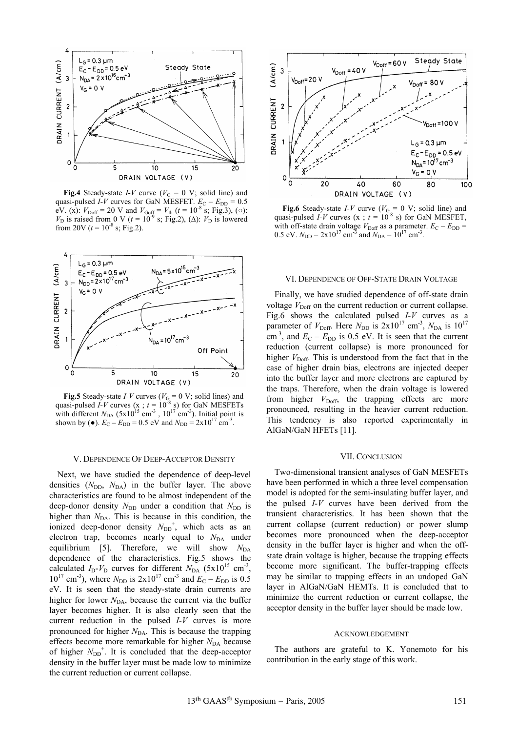

**Fig.4** Steady-state *I-V* curve ( $V_G = 0$  V; solid line) and quasi-pulsed *I-V* curves for GaN MESFET.  $E_C - E_{DD} = 0.5$ eV. (x):  $V_{\text{Doff}} = 20$  V and  $V_{\text{Goff}} = V_{\text{th}}$  ( $t = 10^{-8}$  s; Fig.3), ( $\circ$ ):  $V_D$  is raised from 0 V ( $t = 10^{-9}$  s; Fig.2), ( $\Delta$ ):  $V_D$  is lowered from 20V ( $t = 10^{-8}$  s; Fig.2).



**Fig.5** Steady-state *I-V* curves ( $V<sub>G</sub> = 0$  V; solid lines) and quasi-pulsed *I-V* curves (x ;  $t = 10^{-8}$  s) for GaN MESFETs with different  $N_{DA}$  (5x10<sup>15</sup> cm<sup>-3</sup>, 10<sup>17</sup> cm<sup>-3</sup>). Initial point is shown by ( $\bullet$ ).  $E_C - E_{DD} = 0.5 \text{ eV}$  and  $N_{DD} = 2 \times 10^{17} \text{ cm}^{-3}$ .

#### V. DEPENDENCE OF DEEP-ACCEPTOR DENSITY

Next, we have studied the dependence of deep-level densities  $(N_{\text{DD}}$ ,  $N_{\text{DA}})$  in the buffer layer. The above characteristics are found to be almost independent of the deep-donor density  $N_{\text{DD}}$  under a condition that  $N_{\text{DD}}$  is higher than  $N_{DA}$ . This is because in this condition, the ionized deep-donor density  $N_{DD}^+$ , which acts as an electron trap, becomes nearly equal to  $N_{DA}$  under equilibrium [5]. Therefore, we will show  $N_{DA}$ dependence of the characteristics. Fig.5 shows the calculated  $I_D - V_D$  curves for different  $N_{DA}$  (5x10<sup>15</sup> cm<sup>-3</sup>,  $10^{17}$  cm<sup>-3</sup>), where  $N_{\text{DD}}$  is  $2 \times 10^{17}$  cm<sup>-3</sup> and  $E_{\text{C}} - E_{\text{DD}}$  is 0.5 eV. It is seen that the steady-state drain currents are higher for lower  $N_{DA}$ , because the current via the buffer layer becomes higher. It is also clearly seen that the current reduction in the pulsed *I-V* curves is more pronounced for higher *N*<sub>DA</sub>. This is because the trapping effects become more remarkable for higher *N*<sub>DA</sub> because of higher  $N_{\text{DD}}^+$ . It is concluded that the deep-acceptor density in the buffer layer must be made low to minimize the current reduction or current collapse.



**Fig.6** Steady-state *I-V* curve ( $V_{G_0} = 0$  V; solid line) and quasi-pulsed *I-V* curves (x ;  $t = 10^{-8}$  s) for GaN MESFET, with off-state drain voltage  $V_{\text{Doff}}$  as a parameter.  $E_C - E_{\text{DD}} =$ 0.5 eV.  $N_{\text{DD}} = 2 \times 10^{17} \text{ cm}^3$  and  $N_{\text{DA}} = 10^{17} \text{ cm}^3$ .

#### VI. DEPENDENCE OF OFF-STATE DRAIN VOLTAGE

Finally, we have studied dependence of off-state drain voltage  $V_{\text{Doff}}$  on the current reduction or current collapse. Fig.6 shows the calculated pulsed *I-V* curves as a parameter of  $V_{\text{Doff}}$ . Here  $N_{\text{DD}}$  is  $2x10^{17}$  cm<sup>-3</sup>,  $N_{\text{DA}}$  is  $10^{17}$ cm<sup>-3</sup>, and  $E_C - E_{DD}$  is 0.5 eV. It is seen that the current reduction (current collapse) is more pronounced for higher  $V_{\text{Doff}}$ . This is understood from the fact that in the case of higher drain bias, electrons are injected deeper into the buffer layer and more electrons are captured by the traps. Therefore, when the drain voltage is lowered from higher  $V_{\text{Doff}}$ , the trapping effects are more pronounced, resulting in the heavier current reduction. This tendency is also reported experimentally in AlGaN/GaN HFETs [11].

### VII. CONCLUSION

Two-dimensional transient analyses of GaN MESFETs have been performed in which a three level compensation model is adopted for the semi-insulating buffer layer, and the pulsed *I-V* curves have been derived from the transient characteristics. It has been shown that the current collapse (current reduction) or power slump becomes more pronounced when the deep-acceptor density in the buffer layer is higher and when the offstate drain voltage is higher, because the trapping effects become more significant. The buffer-trapping effects may be similar to trapping effects in an undoped GaN layer in AlGaN/GaN HEMTs. It is concluded that to minimize the current reduction or current collapse, the acceptor density in the buffer layer should be made low.

#### ACKNOWLEDGEMENT

The authors are grateful to K. Yonemoto for his contribution in the early stage of this work.